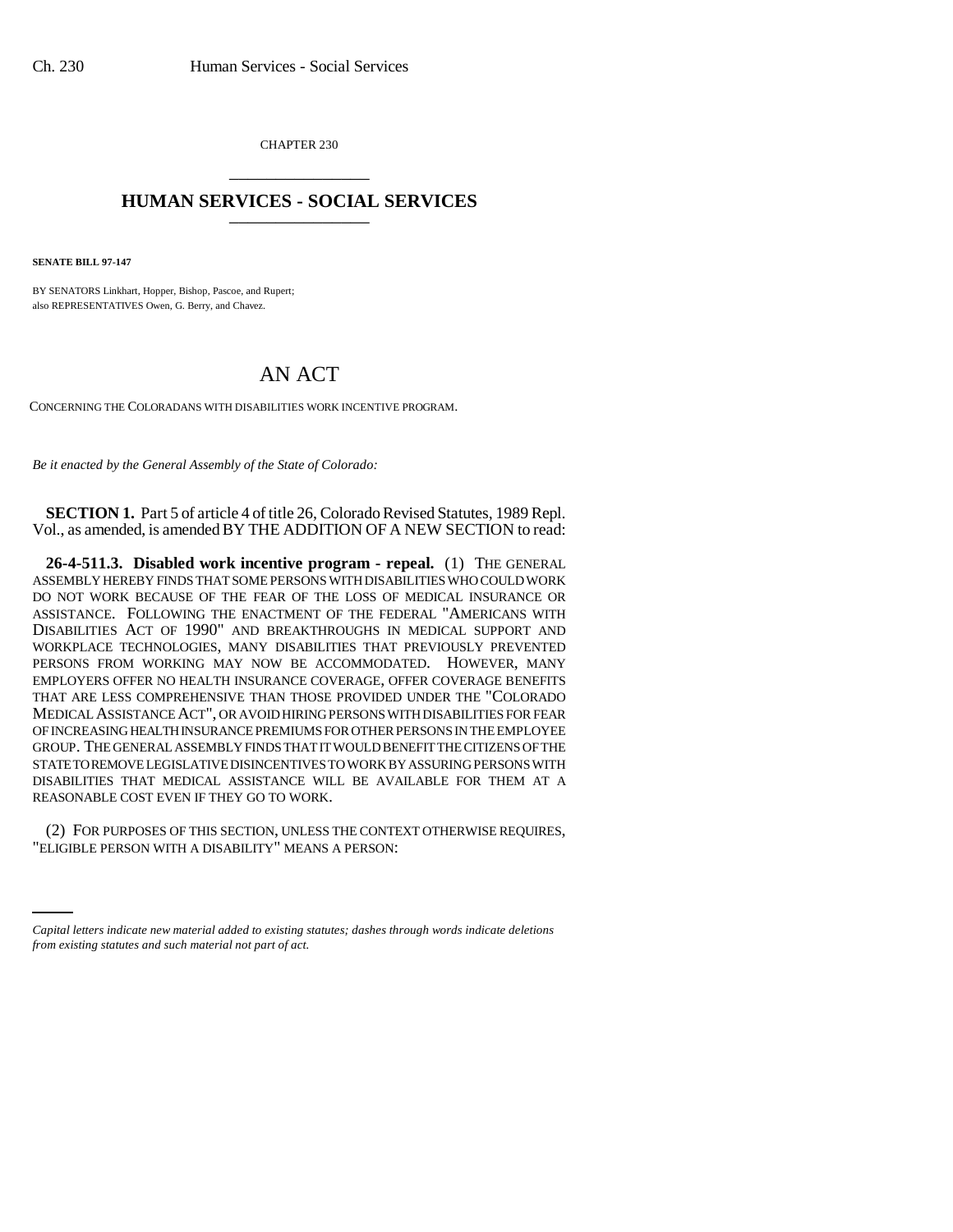CHAPTER 230 \_\_\_\_\_\_\_\_\_\_\_\_\_\_\_

## **HUMAN SERVICES - SOCIAL SERVICES** \_\_\_\_\_\_\_\_\_\_\_\_\_\_\_

**SENATE BILL 97-147**

BY SENATORS Linkhart, Hopper, Bishop, Pascoe, and Rupert; also REPRESENTATIVES Owen, G. Berry, and Chavez.

## AN ACT

CONCERNING THE COLORADANS WITH DISABILITIES WORK INCENTIVE PROGRAM.

*Be it enacted by the General Assembly of the State of Colorado:*

**SECTION 1.** Part 5 of article 4 of title 26, Colorado Revised Statutes, 1989 Repl. Vol., as amended, is amended BY THE ADDITION OF A NEW SECTION to read:

**26-4-511.3. Disabled work incentive program - repeal.** (1) THE GENERAL ASSEMBLY HEREBY FINDS THAT SOME PERSONS WITH DISABILITIES WHO COULD WORK DO NOT WORK BECAUSE OF THE FEAR OF THE LOSS OF MEDICAL INSURANCE OR ASSISTANCE. FOLLOWING THE ENACTMENT OF THE FEDERAL "AMERICANS WITH DISABILITIES ACT OF 1990" AND BREAKTHROUGHS IN MEDICAL SUPPORT AND WORKPLACE TECHNOLOGIES, MANY DISABILITIES THAT PREVIOUSLY PREVENTED PERSONS FROM WORKING MAY NOW BE ACCOMMODATED. HOWEVER, MANY EMPLOYERS OFFER NO HEALTH INSURANCE COVERAGE, OFFER COVERAGE BENEFITS THAT ARE LESS COMPREHENSIVE THAN THOSE PROVIDED UNDER THE "COLORADO MEDICAL ASSISTANCE ACT", OR AVOID HIRING PERSONS WITH DISABILITIES FOR FEAR OF INCREASING HEALTH INSURANCE PREMIUMS FOR OTHER PERSONS IN THE EMPLOYEE GROUP. THE GENERAL ASSEMBLY FINDS THAT IT WOULD BENEFIT THE CITIZENS OF THE STATE TO REMOVE LEGISLATIVE DISINCENTIVES TO WORK BY ASSURING PERSONS WITH DISABILITIES THAT MEDICAL ASSISTANCE WILL BE AVAILABLE FOR THEM AT A REASONABLE COST EVEN IF THEY GO TO WORK.

(2) FOR PURPOSES OF THIS SECTION, UNLESS THE CONTEXT OTHERWISE REQUIRES, "ELIGIBLE PERSON WITH A DISABILITY" MEANS A PERSON:

*Capital letters indicate new material added to existing statutes; dashes through words indicate deletions from existing statutes and such material not part of act.*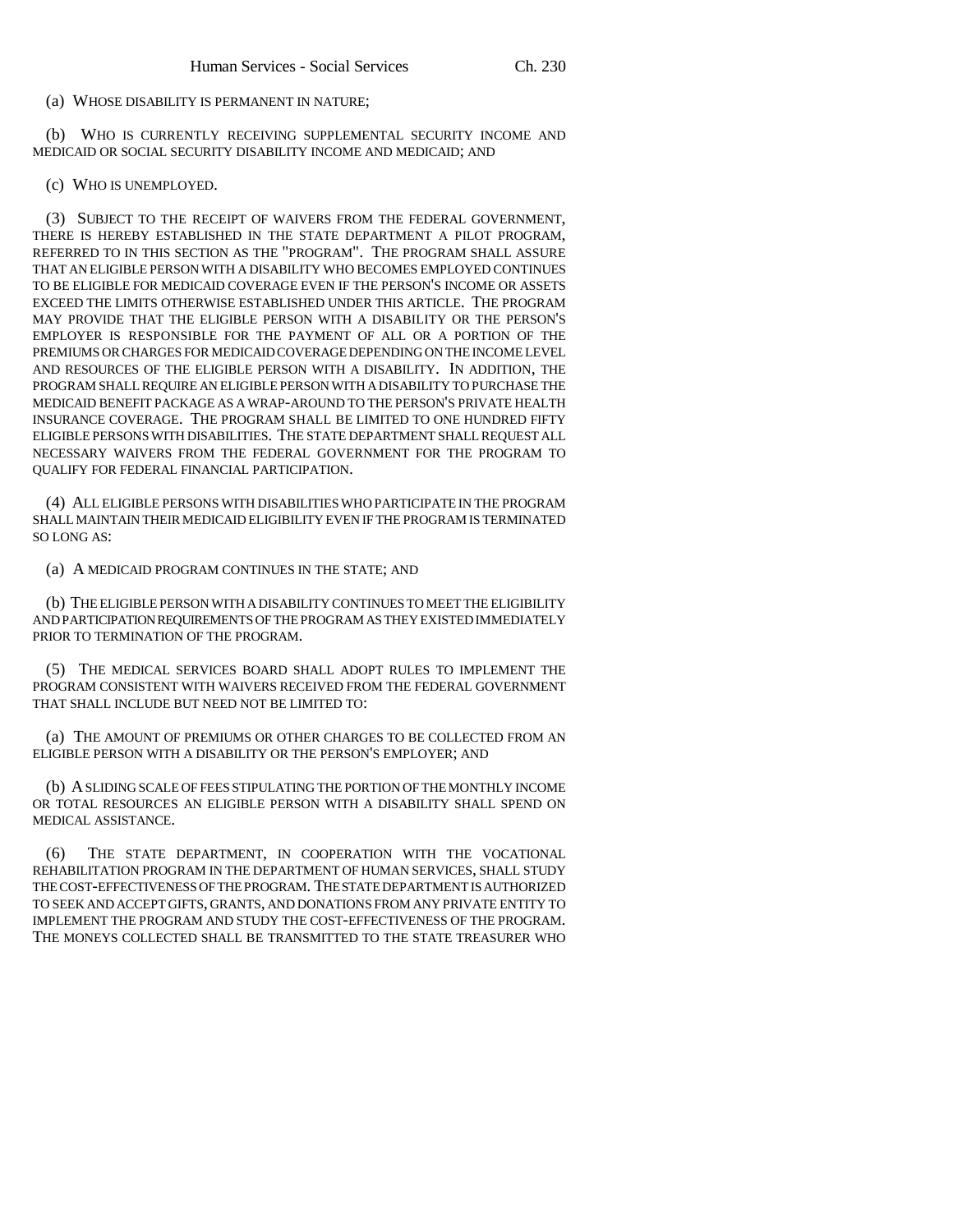## (a) WHOSE DISABILITY IS PERMANENT IN NATURE;

(b) WHO IS CURRENTLY RECEIVING SUPPLEMENTAL SECURITY INCOME AND MEDICAID OR SOCIAL SECURITY DISABILITY INCOME AND MEDICAID; AND

(c) WHO IS UNEMPLOYED.

(3) SUBJECT TO THE RECEIPT OF WAIVERS FROM THE FEDERAL GOVERNMENT, THERE IS HEREBY ESTABLISHED IN THE STATE DEPARTMENT A PILOT PROGRAM, REFERRED TO IN THIS SECTION AS THE "PROGRAM". THE PROGRAM SHALL ASSURE THAT AN ELIGIBLE PERSON WITH A DISABILITY WHO BECOMES EMPLOYED CONTINUES TO BE ELIGIBLE FOR MEDICAID COVERAGE EVEN IF THE PERSON'S INCOME OR ASSETS EXCEED THE LIMITS OTHERWISE ESTABLISHED UNDER THIS ARTICLE. THE PROGRAM MAY PROVIDE THAT THE ELIGIBLE PERSON WITH A DISABILITY OR THE PERSON'S EMPLOYER IS RESPONSIBLE FOR THE PAYMENT OF ALL OR A PORTION OF THE PREMIUMS OR CHARGES FOR MEDICAID COVERAGE DEPENDING ON THE INCOME LEVEL AND RESOURCES OF THE ELIGIBLE PERSON WITH A DISABILITY. IN ADDITION, THE PROGRAM SHALL REQUIRE AN ELIGIBLE PERSON WITH A DISABILITY TO PURCHASE THE MEDICAID BENEFIT PACKAGE AS A WRAP-AROUND TO THE PERSON'S PRIVATE HEALTH INSURANCE COVERAGE. THE PROGRAM SHALL BE LIMITED TO ONE HUNDRED FIFTY ELIGIBLE PERSONS WITH DISABILITIES. THE STATE DEPARTMENT SHALL REQUEST ALL NECESSARY WAIVERS FROM THE FEDERAL GOVERNMENT FOR THE PROGRAM TO QUALIFY FOR FEDERAL FINANCIAL PARTICIPATION.

(4) ALL ELIGIBLE PERSONS WITH DISABILITIES WHO PARTICIPATE IN THE PROGRAM SHALL MAINTAIN THEIR MEDICAID ELIGIBILITY EVEN IF THE PROGRAM IS TERMINATED SO LONG AS:

(a) A MEDICAID PROGRAM CONTINUES IN THE STATE; AND

(b) THE ELIGIBLE PERSON WITH A DISABILITY CONTINUES TO MEET THE ELIGIBILITY AND PARTICIPATION REQUIREMENTS OF THE PROGRAM AS THEY EXISTED IMMEDIATELY PRIOR TO TERMINATION OF THE PROGRAM.

(5) THE MEDICAL SERVICES BOARD SHALL ADOPT RULES TO IMPLEMENT THE PROGRAM CONSISTENT WITH WAIVERS RECEIVED FROM THE FEDERAL GOVERNMENT THAT SHALL INCLUDE BUT NEED NOT BE LIMITED TO:

(a) THE AMOUNT OF PREMIUMS OR OTHER CHARGES TO BE COLLECTED FROM AN ELIGIBLE PERSON WITH A DISABILITY OR THE PERSON'S EMPLOYER; AND

(b) A SLIDING SCALE OF FEES STIPULATING THE PORTION OF THE MONTHLY INCOME OR TOTAL RESOURCES AN ELIGIBLE PERSON WITH A DISABILITY SHALL SPEND ON MEDICAL ASSISTANCE.

(6) THE STATE DEPARTMENT, IN COOPERATION WITH THE VOCATIONAL REHABILITATION PROGRAM IN THE DEPARTMENT OF HUMAN SERVICES, SHALL STUDY THE COST-EFFECTIVENESS OF THE PROGRAM. THE STATE DEPARTMENT IS AUTHORIZED TO SEEK AND ACCEPT GIFTS, GRANTS, AND DONATIONS FROM ANY PRIVATE ENTITY TO IMPLEMENT THE PROGRAM AND STUDY THE COST-EFFECTIVENESS OF THE PROGRAM. THE MONEYS COLLECTED SHALL BE TRANSMITTED TO THE STATE TREASURER WHO